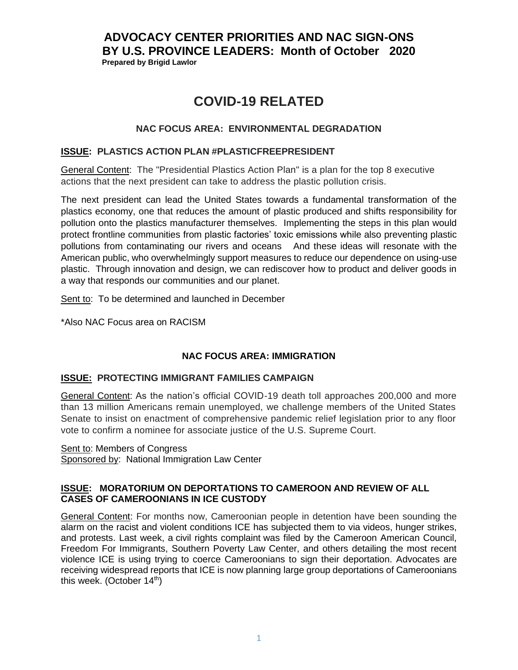# **ADVOCACY CENTER PRIORITIES AND NAC SIGN-ONS BY U.S. PROVINCE LEADERS: Month of October 2020 Prepared by Brigid Lawlor**

# **COVID-19 RELATED**

## **NAC FOCUS AREA: ENVIRONMENTAL DEGRADATION**

#### **ISSUE: PLASTICS ACTION PLAN #PLASTICFREEPRESIDENT**

General Content: The "Presidential Plastics Action Plan" is a plan for the top 8 executive actions that the next president can take to address the plastic pollution crisis.

The next president can lead the United States towards a fundamental transformation of the plastics economy, one that reduces the amount of plastic produced and shifts responsibility for pollution onto the plastics manufacturer themselves. Implementing the steps in this plan would protect frontline communities from plastic factories' toxic emissions while also preventing plastic pollutions from contaminating our rivers and oceans And these ideas will resonate with the American public, who overwhelmingly support measures to reduce our dependence on using-use plastic. Through innovation and design, we can rediscover how to product and deliver goods in a way that responds our communities and our planet.

Sent to: To be determined and launched in December

\*Also NAC Focus area on RACISM

## **NAC FOCUS AREA: IMMIGRATION**

## **ISSUE: PROTECTING IMMIGRANT FAMILIES CAMPAIGN**

General Content: As the nation's official COVID-19 death toll approaches 200,000 and more than 13 million Americans remain unemployed, we challenge members of the United States Senate to insist on enactment of comprehensive pandemic relief legislation prior to any floor vote to confirm a nominee for associate justice of the U.S. Supreme Court.

Sent to: Members of Congress

Sponsored by: National Immigration Law Center

#### **ISSUE: MORATORIUM ON DEPORTATIONS TO CAMEROON AND REVIEW OF ALL CASES OF CAMEROONIANS IN ICE CUSTODY**

General Content: For months now, Cameroonian people in detention have been sounding the alarm on the racist and violent conditions ICE has subjected them to via videos, [hunger strikes,](https://joepenney.substack.com/p/cameroonian-immigrants-lead-protest) and protests. Last week, a [civil rights complaint](https://static1.squarespace.com/static/5a33042eb078691c386e7bce/t/5f7f17f39e044f47175204fb/1602164723244/Re+CRCL+Complaint+ICE%27s+Use+of+Torture+to+Coerce+Immigrants+to+Sign+Immigration+Documents+at+Adams+County+Correctional+Facility.pdf) was filed by the Cameroon American Council, Freedom For Immigrants, Southern Poverty Law Center, and others detailing the most recent violence ICE is using trying to coerce Cameroonians to sign their deportation. Advocates are receiving widespread reports that ICE is now planning large group deportations of Cameroonians this week. (October  $14<sup>th</sup>$ )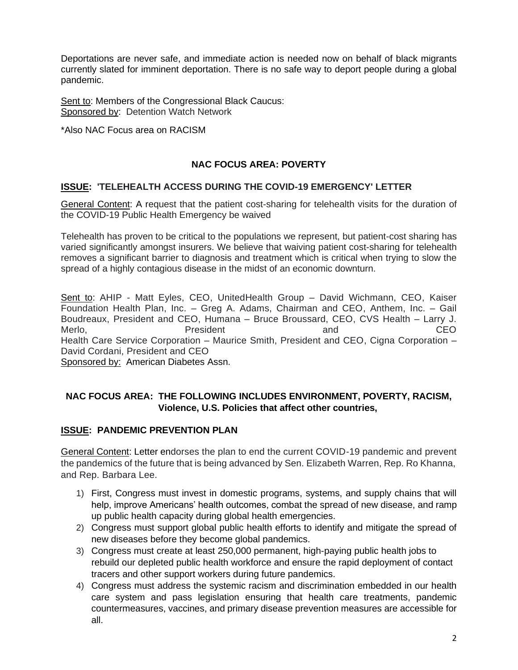Deportations are never safe, and immediate action is needed now on behalf of black migrants currently slated for imminent deportation. There is no safe way to deport people during a global pandemic.

Sent to: Members of the Congressional Black Caucus: Sponsored by: Detention Watch Network

\*Also NAC Focus area on RACISM

# **NAC FOCUS AREA: POVERTY**

#### **ISSUE: 'TELEHEALTH ACCESS DURING THE COVID-19 EMERGENCY' LETTER**

General Content: A request that the patient cost-sharing for telehealth visits for the duration of the COVID-19 Public Health Emergency be waived

Telehealth has proven to be critical to the populations we represent, but patient-cost sharing has varied significantly amongst insurers. We believe that waiving patient cost-sharing for telehealth removes a significant barrier to diagnosis and treatment which is critical when trying to slow the spread of a highly contagious disease in the midst of an economic downturn.

Sent to: AHIP - Matt Eyles, CEO, UnitedHealth Group - David Wichmann, CEO, Kaiser Foundation Health Plan, Inc. – Greg A. Adams, Chairman and CEO, Anthem, Inc. – Gail Boudreaux, President and CEO, Humana – Bruce Broussard, CEO, CVS Health – Larry J. Merlo, and CEO Health Care Service Corporation – Maurice Smith, President and CEO, Cigna Corporation – David Cordani, President and CEO

Sponsored by: American Diabetes Assn.

## **NAC FOCUS AREA: THE FOLLOWING INCLUDES ENVIRONMENT, POVERTY, RACISM, Violence, U.S. Policies that affect other countries,**

## **ISSUE: PANDEMIC PREVENTION PLAN**

General Content: Letter endorses the plan to end the current COVID-19 pandemic and prevent the pandemics of the future that is being advanced by Sen. Elizabeth Warren, Rep. Ro Khanna, and Rep. Barbara Lee.

- 1) First, Congress must invest in domestic programs, systems, and supply chains that will help, improve Americans' health outcomes, combat the spread of new disease, and ramp up public health capacity during global health emergencies.
- 2) Congress must support global public health efforts to identify and mitigate the spread of new diseases before they become global pandemics.
- 3) Congress must create at least 250,000 permanent, high-paying public health jobs to rebuild our depleted public health workforce and ensure the rapid deployment of contact tracers and other support workers during future pandemics.
- 4) Congress must address the systemic racism and discrimination embedded in our health care system and pass legislation ensuring that health care treatments, pandemic countermeasures, vaccines, and primary disease prevention measures are accessible for all.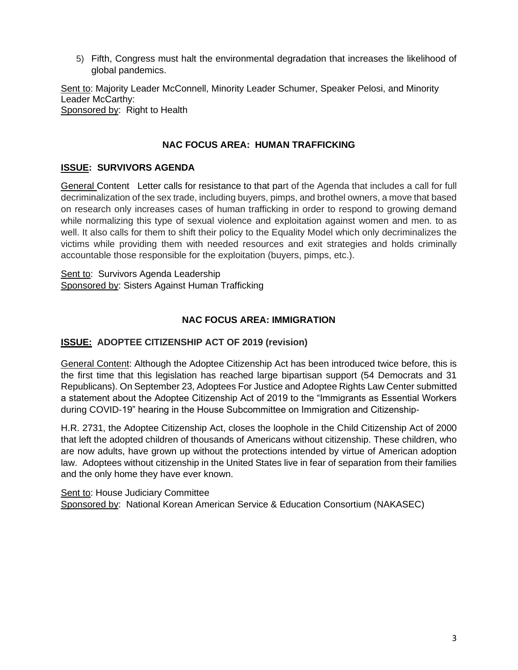5) Fifth, Congress must halt the environmental degradation that increases the likelihood of global pandemics.

Sent to: Majority Leader McConnell, Minority Leader Schumer, Speaker Pelosi, and Minority Leader McCarthy: Sponsored by: Right to Health

#### **NAC FOCUS AREA: HUMAN TRAFFICKING**

## **ISSUE: SURVIVORS AGENDA**

General Content Letter calls for resistance to that part of the Agenda that includes a call for full decriminalization of the sex trade, including buyers, pimps, and brothel owners, a move that based on research only increases cases of human trafficking in order to respond to growing demand while normalizing this type of sexual violence and exploitation against women and men. to as well. It also calls for them to shift their policy to the Equality Model which only decriminalizes the victims while providing them with needed resources and exit strategies and holds criminally accountable those responsible for the exploitation (buyers, pimps, etc.).

Sent to: Survivors Agenda Leadership Sponsored by: Sisters Against Human Trafficking

#### **NAC FOCUS AREA: IMMIGRATION**

## **ISSUE: ADOPTEE CITIZENSHIP ACT OF 2019 (revision)**

General Content: Although the Adoptee Citizenship Act has been introduced twice before, this is the first time that this legislation has reached large bipartisan support (54 Democrats and 31 Republicans). On September 23, Adoptees For Justice and Adoptee Rights Law Center submitted a statement about the Adoptee Citizenship Act of 2019 to the "Immigrants as Essential Workers during COVID-19" hearing in the House Subcommittee on Immigration and Citizenship-

H.R. 2731, the Adoptee Citizenship Act, closes the loophole in the Child Citizenship Act of 2000 that left the adopted children of thousands of Americans without citizenship. These children, who are now adults, have grown up without the protections intended by virtue of American adoption law. Adoptees without citizenship in the United States live in fear of separation from their families and the only home they have ever known.

Sent to: House Judiciary Committee Sponsored by: National Korean American Service & Education Consortium (NAKASEC)